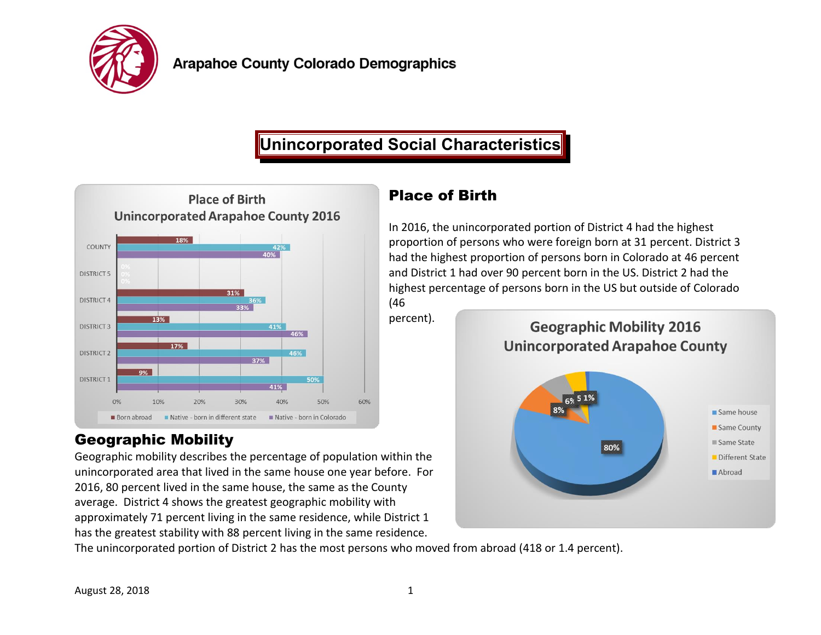

## **Unincorporated Social Characteristics**



## Geographic Mobility

Geographic mobility describes the percentage of population within the unincorporated area that lived in the same house one year before. For 2016, 80 percent lived in the same house, the same as the County average. District 4 shows the greatest geographic mobility with approximately 71 percent living in the same residence, while District 1 has the greatest stability with 88 percent living in the same residence.

## Place of Birth

In 2016, the unincorporated portion of District 4 had the highest proportion of persons who were foreign born at 31 percent. District 3 had the highest proportion of persons born in Colorado at 46 percent and District 1 had over 90 percent born in the US. District 2 had the highest percentage of persons born in the US but outside of Colorado (46

percent).



The unincorporated portion of District 2 has the most persons who moved from abroad (418 or 1.4 percent).